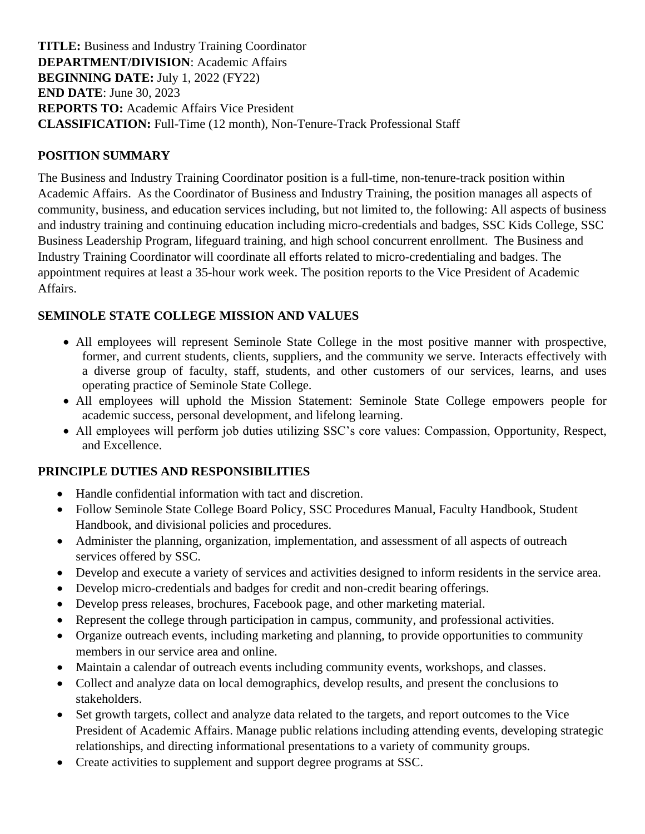**TITLE:** Business and Industry Training Coordinator **DEPARTMENT/DIVISION**: Academic Affairs **BEGINNING DATE:** July 1, 2022 (FY22) **END DATE**: June 30, 2023 **REPORTS TO:** Academic Affairs Vice President **CLASSIFICATION:** Full-Time (12 month), Non-Tenure-Track Professional Staff

### **POSITION SUMMARY**

The Business and Industry Training Coordinator position is a full-time, non-tenure-track position within Academic Affairs. As the Coordinator of Business and Industry Training, the position manages all aspects of community, business, and education services including, but not limited to, the following: All aspects of business and industry training and continuing education including micro-credentials and badges, SSC Kids College, SSC Business Leadership Program, lifeguard training, and high school concurrent enrollment. The Business and Industry Training Coordinator will coordinate all efforts related to micro-credentialing and badges. The appointment requires at least a 35-hour work week. The position reports to the Vice President of Academic Affairs.

## **SEMINOLE STATE COLLEGE MISSION AND VALUES**

- All employees will represent Seminole State College in the most positive manner with prospective, former, and current students, clients, suppliers, and the community we serve. Interacts effectively with a diverse group of faculty, staff, students, and other customers of our services, learns, and uses operating practice of Seminole State College.
- All employees will uphold the Mission Statement: Seminole State College empowers people for academic success, personal development, and lifelong learning.
- All employees will perform job duties utilizing SSC's core values: Compassion, Opportunity, Respect, and Excellence.

#### **PRINCIPLE DUTIES AND RESPONSIBILITIES**

- Handle confidential information with tact and discretion.
- Follow Seminole State College Board Policy, SSC Procedures Manual, Faculty Handbook, Student Handbook, and divisional policies and procedures.
- Administer the planning, organization, implementation, and assessment of all aspects of outreach services offered by SSC.
- Develop and execute a variety of services and activities designed to inform residents in the service area.
- Develop micro-credentials and badges for credit and non-credit bearing offerings.
- Develop press releases, brochures, Facebook page, and other marketing material.
- Represent the college through participation in campus, community, and professional activities.
- Organize outreach events, including marketing and planning, to provide opportunities to community members in our service area and online.
- Maintain a calendar of outreach events including community events, workshops, and classes.
- Collect and analyze data on local demographics, develop results, and present the conclusions to stakeholders.
- Set growth targets, collect and analyze data related to the targets, and report outcomes to the Vice President of Academic Affairs. Manage public relations including attending events, developing strategic relationships, and directing informational presentations to a variety of community groups.
- Create activities to supplement and support degree programs at SSC.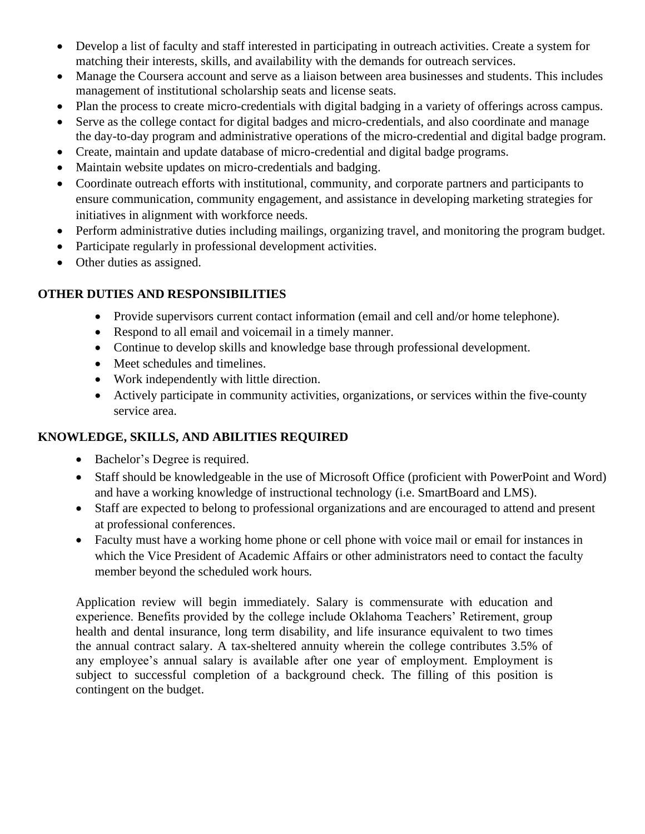- Develop a list of faculty and staff interested in participating in outreach activities. Create a system for matching their interests, skills, and availability with the demands for outreach services.
- Manage the Coursera account and serve as a liaison between area businesses and students. This includes management of institutional scholarship seats and license seats.
- Plan the process to create micro-credentials with digital badging in a variety of offerings across campus.
- Serve as the college contact for digital badges and micro-credentials, and also coordinate and manage the day-to-day program and administrative operations of the micro-credential and digital badge program.
- Create, maintain and update database of micro-credential and digital badge programs.
- Maintain website updates on micro-credentials and badging.
- Coordinate outreach efforts with institutional, community, and corporate partners and participants to ensure communication, community engagement, and assistance in developing marketing strategies for initiatives in alignment with workforce needs.
- Perform administrative duties including mailings, organizing travel, and monitoring the program budget.
- Participate regularly in professional development activities.
- Other duties as assigned.

#### **OTHER DUTIES AND RESPONSIBILITIES**

- Provide supervisors current contact information (email and cell and/or home telephone).
- Respond to all email and voicemail in a timely manner.
- Continue to develop skills and knowledge base through professional development.
- Meet schedules and timelines.
- Work independently with little direction.
- Actively participate in community activities, organizations, or services within the five-county service area.

# **KNOWLEDGE, SKILLS, AND ABILITIES REQUIRED**

- Bachelor's Degree is required.
- Staff should be knowledgeable in the use of Microsoft Office (proficient with PowerPoint and Word) and have a working knowledge of instructional technology (i.e. SmartBoard and LMS).
- Staff are expected to belong to professional organizations and are encouraged to attend and present at professional conferences.
- Faculty must have a working home phone or cell phone with voice mail or email for instances in which the Vice President of Academic Affairs or other administrators need to contact the faculty member beyond the scheduled work hours*.*

Application review will begin immediately. Salary is commensurate with education and experience. Benefits provided by the college include Oklahoma Teachers' Retirement, group health and dental insurance, long term disability, and life insurance equivalent to two times the annual contract salary. A tax-sheltered annuity wherein the college contributes 3.5% of any employee's annual salary is available after one year of employment. Employment is subject to successful completion of a background check. The filling of this position is contingent on the budget.